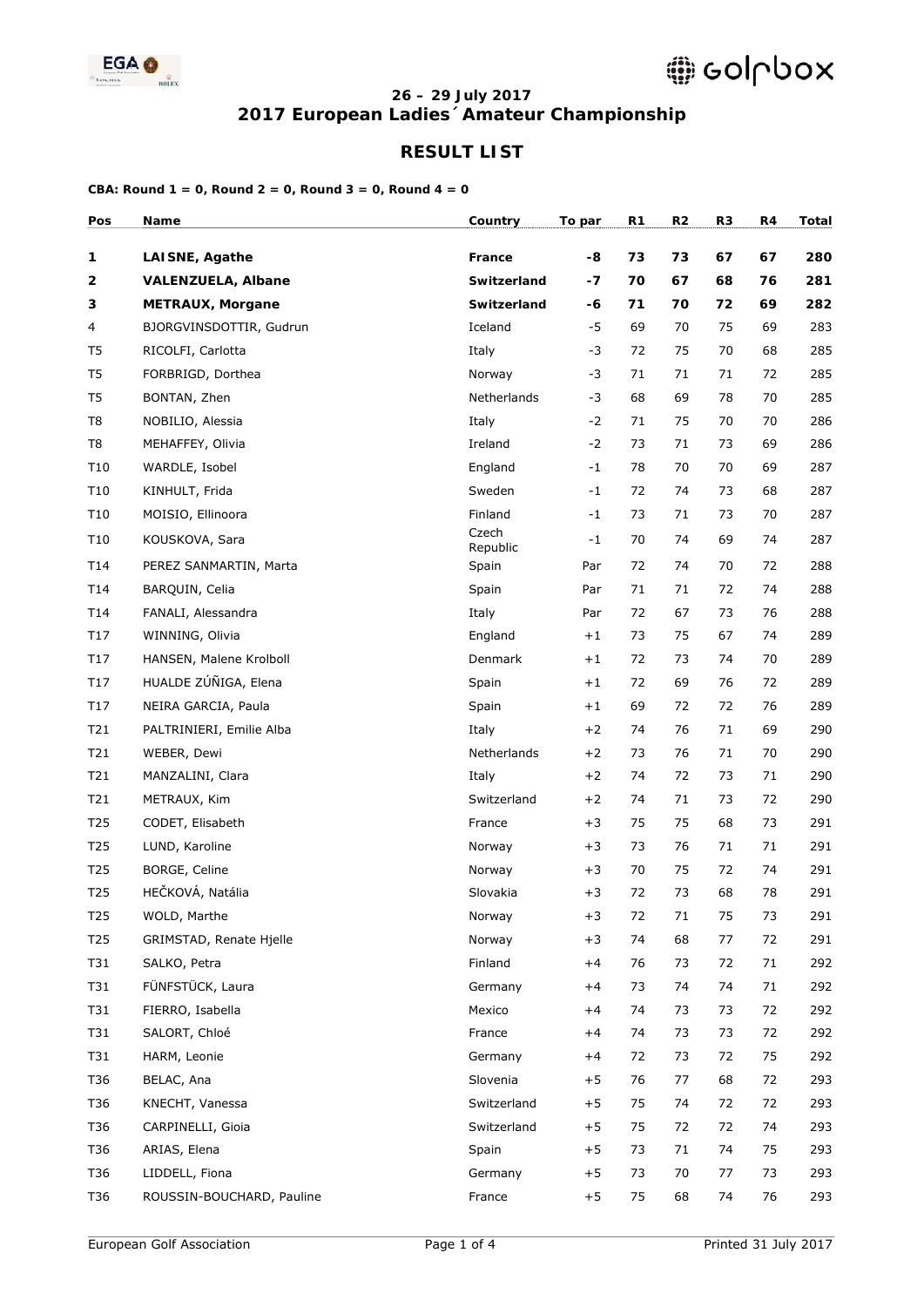

### **26 – 29 July 2017 2017 European Ladies´Amateur Championship**

## **RESULT LIST**

| Pos                     | Name                      | Country           | To par | R1 | R2 | R <sub>3</sub> | R4 | <b>Total</b> |
|-------------------------|---------------------------|-------------------|--------|----|----|----------------|----|--------------|
| $\mathbf{1}$            | <b>LAISNE, Agathe</b>     | France            | -8     | 73 | 73 | 67             | 67 | 280          |
| $\overline{\mathbf{2}}$ | <b>VALENZUELA, Albane</b> | Switzerland       | -7     | 70 | 67 | 68             | 76 | 281          |
| 3                       | <b>METRAUX, Morgane</b>   | Switzerland       | -6     | 71 | 70 | 72             | 69 | 282          |
| 4                       | BJORGVINSDOTTIR, Gudrun   | Iceland           | $-5$   | 69 | 70 | 75             | 69 | 283          |
| T <sub>5</sub>          | RICOLFI, Carlotta         | Italy             | $-3$   | 72 | 75 | 70             | 68 | 285          |
| T <sub>5</sub>          | FORBRIGD, Dorthea         | Norway            | $-3$   | 71 | 71 | 71             | 72 | 285          |
| T <sub>5</sub>          | BONTAN, Zhen              | Netherlands       | $-3$   | 68 | 69 | 78             | 70 | 285          |
| T <sub>8</sub>          | NOBILIO, Alessia          | Italy             | $-2$   | 71 | 75 | 70             | 70 | 286          |
| T8                      | MEHAFFEY, Olivia          | Ireland           | $-2$   | 73 | 71 | 73             | 69 | 286          |
| T10                     | WARDLE, Isobel            | England           | $-1$   | 78 | 70 | 70             | 69 | 287          |
| T10                     | KINHULT, Frida            | Sweden            | $-1$   | 72 | 74 | 73             | 68 | 287          |
| T10                     | MOISIO, Ellinoora         | Finland           | $-1$   | 73 | 71 | 73             | 70 | 287          |
| T10                     | KOUSKOVA, Sara            | Czech<br>Republic | $-1$   | 70 | 74 | 69             | 74 | 287          |
| T14                     | PEREZ SANMARTIN, Marta    | Spain             | Par    | 72 | 74 | 70             | 72 | 288          |
| T <sub>14</sub>         | BAROUIN, Celia            | Spain             | Par    | 71 | 71 | 72             | 74 | 288          |
| T14                     | FANALI, Alessandra        | Italy             | Par    | 72 | 67 | 73             | 76 | 288          |
| T <sub>17</sub>         | WINNING, Olivia           | England           | $+1$   | 73 | 75 | 67             | 74 | 289          |
| T <sub>17</sub>         | HANSEN, Malene Krolboll   | Denmark           | $+1$   | 72 | 73 | 74             | 70 | 289          |
| T17                     | HUALDE ZÚÑIGA, Elena      | Spain             | $+1$   | 72 | 69 | 76             | 72 | 289          |
| T <sub>17</sub>         | NEIRA GARCIA, Paula       | Spain             | $+1$   | 69 | 72 | 72             | 76 | 289          |
| T21                     | PALTRINIERI, Emilie Alba  | Italy             | $+2$   | 74 | 76 | 71             | 69 | 290          |
| T21                     | WEBER, Dewi               | Netherlands       | $+2$   | 73 | 76 | 71             | 70 | 290          |
| T21                     | MANZALINI, Clara          | Italy             | $+2$   | 74 | 72 | 73             | 71 | 290          |
| T21                     | METRAUX, Kim              | Switzerland       | $+2$   | 74 | 71 | 73             | 72 | 290          |
| T <sub>25</sub>         | CODET, Elisabeth          | France            | $+3$   | 75 | 75 | 68             | 73 | 291          |
| T <sub>25</sub>         | LUND, Karoline            | Norway            | $+3$   | 73 | 76 | 71             | 71 | 291          |
| T <sub>25</sub>         | BORGE, Celine             | Norway            | $+3$   | 70 | 75 | 72             | 74 | 291          |
| T25                     | HEČKOVÁ, Natália          | Slovakia          | $+3$   | 72 | 73 | 68             | 78 | 291          |
| T <sub>25</sub>         | WOLD, Marthe              | Norway            | $+3$   | 72 | 71 | 75             | 73 | 291          |
| T <sub>25</sub>         | GRIMSTAD, Renate Hjelle   | Norway            | $+3$   | 74 | 68 | 77             | 72 | 291          |
| T31                     | SALKO, Petra              | Finland           | $+4$   | 76 | 73 | 72             | 71 | 292          |
| T31                     | FÜNFSTÜCK, Laura          | Germany           | $+4$   | 73 | 74 | 74             | 71 | 292          |
| T31                     | FIERRO, Isabella          | Mexico            | $+4$   | 74 | 73 | 73             | 72 | 292          |
| T31                     | SALORT, Chloé             | France            | $+4$   | 74 | 73 | 73             | 72 | 292          |
| T31                     | HARM, Leonie              | Germany           | $+4$   | 72 | 73 | 72             | 75 | 292          |
| T36                     | BELAC, Ana                | Slovenia          | $+5$   | 76 | 77 | 68             | 72 | 293          |
| T36                     | KNECHT, Vanessa           | Switzerland       | $+5$   | 75 | 74 | 72             | 72 | 293          |
| T36                     | CARPINELLI, Gioia         | Switzerland       | $+5$   | 75 | 72 | 72             | 74 | 293          |
| T36                     | ARIAS, Elena              | Spain             | $+5$   | 73 | 71 | 74             | 75 | 293          |
| T36                     | LIDDELL, Fiona            | Germany           | $+5$   | 73 | 70 | 77             | 73 | 293          |
| T36                     | ROUSSIN-BOUCHARD, Pauline | France            | $+5$   | 75 | 68 | 74             | 76 | 293          |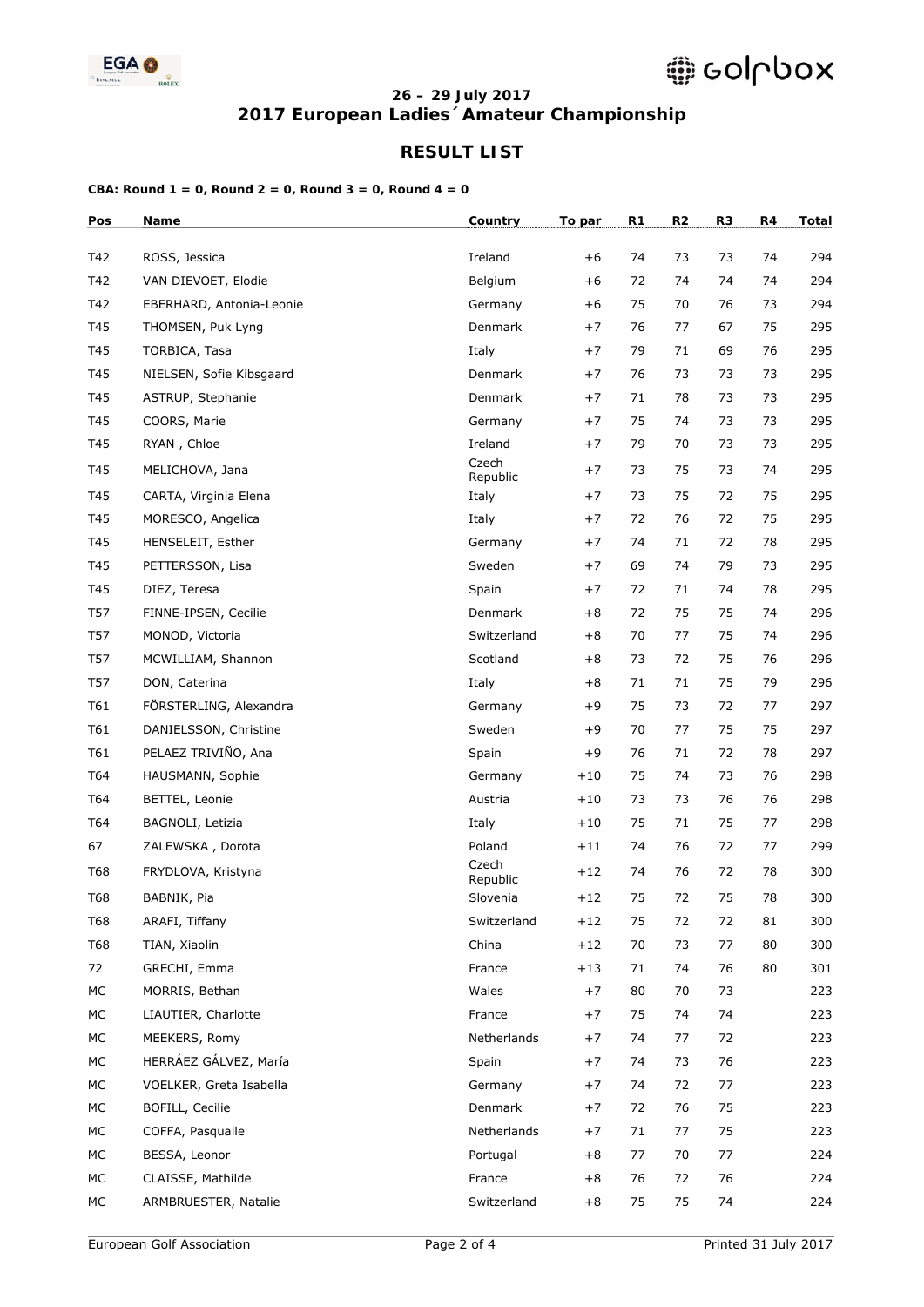

### **26 – 29 July 2017 2017 European Ladies´Amateur Championship**

## **RESULT LIST**

| Pos        | Name                     | Country           | To par | R1 | R <sub>2</sub> | R <sub>3</sub> | R4 | <b>Total</b> |
|------------|--------------------------|-------------------|--------|----|----------------|----------------|----|--------------|
| T42        | ROSS, Jessica            | Ireland           | $+6$   | 74 | 73             | 73             | 74 | 294          |
| T42        | VAN DIEVOET, Elodie      | Belgium           | $+6$   | 72 | 74             | 74             | 74 | 294          |
| T42        | EBERHARD, Antonia-Leonie | Germany           | $+6$   | 75 | 70             | 76             | 73 | 294          |
| T45        | THOMSEN, Puk Lyng        | Denmark           | $+7$   | 76 | 77             | 67             | 75 | 295          |
| T45        | TORBICA, Tasa            | Italy             | $+7$   | 79 | 71             | 69             | 76 | 295          |
| T45        | NIELSEN, Sofie Kibsgaard | Denmark           | $+7$   | 76 | 73             | 73             | 73 | 295          |
| T45        | ASTRUP, Stephanie        | Denmark           | $+7$   | 71 | 78             | 73             | 73 | 295          |
| T45        | COORS, Marie             | Germany           | $+7$   | 75 | 74             | 73             | 73 | 295          |
| T45        | RYAN, Chloe              | Ireland           | $+7$   | 79 | 70             | 73             | 73 | 295          |
| T45        | MELICHOVA, Jana          | Czech<br>Republic | $+7$   | 73 | 75             | 73             | 74 | 295          |
| T45        | CARTA, Virginia Elena    | Italy             | $+7$   | 73 | 75             | 72             | 75 | 295          |
| T45        | MORESCO, Angelica        | Italy             | $+7$   | 72 | 76             | 72             | 75 | 295          |
| T45        | HENSELEIT, Esther        | Germany           | $+7$   | 74 | 71             | 72             | 78 | 295          |
| T45        | PETTERSSON, Lisa         | Sweden            | $+7$   | 69 | 74             | 79             | 73 | 295          |
| T45        | DIEZ, Teresa             | Spain             | $+7$   | 72 | 71             | 74             | 78 | 295          |
| <b>T57</b> | FINNE-IPSEN, Cecilie     | Denmark           | $+8$   | 72 | 75             | 75             | 74 | 296          |
| <b>T57</b> | MONOD, Victoria          | Switzerland       | $+8$   | 70 | 77             | 75             | 74 | 296          |
| <b>T57</b> | MCWILLIAM, Shannon       | Scotland          | $+8$   | 73 | 72             | 75             | 76 | 296          |
| <b>T57</b> | DON, Caterina            | Italy             | $+8$   | 71 | 71             | 75             | 79 | 296          |
| T61        | FÖRSTERLING, Alexandra   | Germany           | $+9$   | 75 | 73             | 72             | 77 | 297          |
| T61        | DANIELSSON, Christine    | Sweden            | +9     | 70 | 77             | 75             | 75 | 297          |
| T61        | PELAEZ TRIVIÑO, Ana      | Spain             | $+9$   | 76 | 71             | 72             | 78 | 297          |
| T64        | HAUSMANN, Sophie         | Germany           | $+10$  | 75 | 74             | 73             | 76 | 298          |
| T64        | BETTEL, Leonie           | Austria           | $+10$  | 73 | 73             | 76             | 76 | 298          |
| T64        | BAGNOLI, Letizia         | Italy             | $+10$  | 75 | 71             | 75             | 77 | 298          |
| 67         | ZALEWSKA, Dorota         | Poland            | $+11$  | 74 | 76             | 72             | 77 | 299          |
| <b>T68</b> | FRYDLOVA, Kristyna       | Czech<br>Republic | $+12$  | 74 | 76             | 72             | 78 | 300          |
| <b>T68</b> | BABNIK, Pia              | Slovenia          | $+12$  | 75 | 72             | 75             | 78 | 300          |
| <b>T68</b> | ARAFI, Tiffany           | Switzerland       | $+12$  | 75 | 72             | 72             | 81 | 300          |
| <b>T68</b> | TIAN, Xiaolin            | China             | $+12$  | 70 | 73             | 77             | 80 | 300          |
| 72         | GRECHI, Emma             | France            | $+13$  | 71 | 74             | 76             | 80 | 301          |
| МC         | MORRIS, Bethan           | Wales             | $+7$   | 80 | 70             | 73             |    | 223          |
| МC         | LIAUTIER, Charlotte      | France            | $+7$   | 75 | 74             | 74             |    | 223          |
| МC         | MEEKERS, Romy            | Netherlands       | $+7$   | 74 | 77             | 72             |    | 223          |
| МC         | HERRÁEZ GÁLVEZ, María    | Spain             | $+7$   | 74 | 73             | 76             |    | 223          |
| МC         | VOELKER, Greta Isabella  | Germany           | $+7$   | 74 | 72             | 77             |    | 223          |
| МC         | BOFILL, Cecilie          | Denmark           | $+7$   | 72 | 76             | 75             |    | 223          |
| МC         | COFFA, Pasqualle         | Netherlands       | $+7$   | 71 | 77             | 75             |    | 223          |
| МC         | BESSA, Leonor            | Portugal          | $+8$   | 77 | 70             | 77             |    | 224          |
| МC         | CLAISSE, Mathilde        | France            | $+8$   | 76 | 72             | 76             |    | 224          |
| $MC$       | ARMBRUESTER, Natalie     | Switzerland       | $+8$   | 75 | 75             | 74             |    | 224          |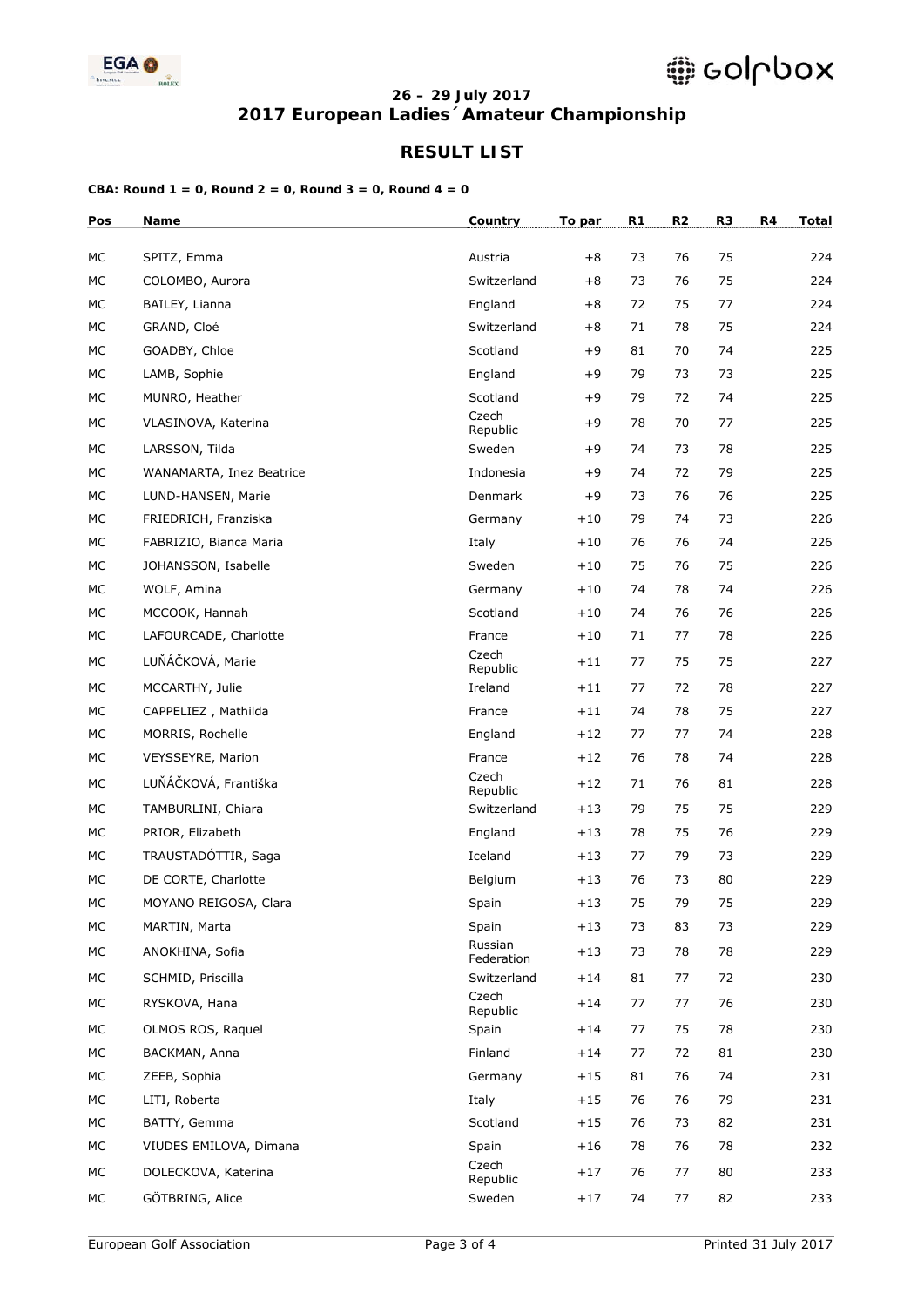

### **26 – 29 July 2017 2017 European Ladies´Amateur Championship**

## **RESULT LIST**

| Pos | Name                     | Country               | To par | R1 | R <sub>2</sub> | R <sub>3</sub> | R4 | <b>Total</b> |
|-----|--------------------------|-----------------------|--------|----|----------------|----------------|----|--------------|
| МC  | SPITZ, Emma              | Austria               | $+8$   | 73 | 76             | 75             |    | 224          |
| МC  | COLOMBO, Aurora          | Switzerland           | $+8$   | 73 | 76             | 75             |    | 224          |
| МC  | BAILEY, Lianna           | England               | $+8$   | 72 | 75             | 77             |    | 224          |
| МC  | GRAND, Cloé              | Switzerland           | $+8$   | 71 | 78             | 75             |    | 224          |
| МC  | GOADBY, Chloe            | Scotland              | $+9$   | 81 | 70             | 74             |    | 225          |
| МC  | LAMB, Sophie             | England               | $+9$   | 79 | 73             | 73             |    | 225          |
| МC  | MUNRO, Heather           | Scotland              | $+9$   | 79 | 72             | 74             |    | 225          |
| МC  | VLASINOVA, Katerina      | Czech<br>Republic     | $+9$   | 78 | 70             | 77             |    | 225          |
| МC  | LARSSON, Tilda           | Sweden                | +9     | 74 | 73             | 78             |    | 225          |
| МC  | WANAMARTA, Inez Beatrice | Indonesia             | $+9$   | 74 | 72             | 79             |    | 225          |
| МC  | LUND-HANSEN, Marie       | Denmark               | +9     | 73 | 76             | 76             |    | 225          |
| МC  | FRIEDRICH, Franziska     | Germany               | $+10$  | 79 | 74             | 73             |    | 226          |
| МC  | FABRIZIO, Bianca Maria   | Italy                 | $+10$  | 76 | 76             | 74             |    | 226          |
| МC  | JOHANSSON, Isabelle      | Sweden                | $+10$  | 75 | 76             | 75             |    | 226          |
| МC  | WOLF, Amina              | Germany               | $+10$  | 74 | 78             | 74             |    | 226          |
| МC  | MCCOOK, Hannah           | Scotland              | $+10$  | 74 | 76             | 76             |    | 226          |
| МC  | LAFOURCADE, Charlotte    | France                | $+10$  | 71 | 77             | 78             |    | 226          |
| МC  | LUŇÁČKOVÁ, Marie         | Czech<br>Republic     | $+11$  | 77 | 75             | 75             |    | 227          |
| МC  | MCCARTHY, Julie          | Ireland               | $+11$  | 77 | 72             | 78             |    | 227          |
| МC  | CAPPELIEZ, Mathilda      | France                | $+11$  | 74 | 78             | 75             |    | 227          |
| МC  | MORRIS, Rochelle         | England               | $+12$  | 77 | 77             | 74             |    | 228          |
| МC  | VEYSSEYRE, Marion        | France                | $+12$  | 76 | 78             | 74             |    | 228          |
| МC  | LUŇÁČKOVÁ, Františka     | Czech<br>Republic     | $+12$  | 71 | 76             | 81             |    | 228          |
| МC  | TAMBURLINI, Chiara       | Switzerland           | $+13$  | 79 | 75             | 75             |    | 229          |
| МC  | PRIOR, Elizabeth         | England               | $+13$  | 78 | 75             | 76             |    | 229          |
| МC  | TRAUSTADÓTTIR, Saga      | Iceland               | $+13$  | 77 | 79             | 73             |    | 229          |
| МC  | DE CORTE, Charlotte      | Belgium               | $+13$  | 76 | 73             | 80             |    | 229          |
| МC  | MOYANO REIGOSA, Clara    | Spain                 | $+13$  | 75 | 79             | 75             |    | 229          |
| МC  | MARTIN, Marta            | Spain                 | $+13$  | 73 | 83             | 73             |    | 229          |
| МC  | ANOKHINA, Sofia          | Russian<br>Federation | $+13$  | 73 | 78             | 78             |    | 229          |
| МC  | SCHMID, Priscilla        | Switzerland           | $+14$  | 81 | 77             | 72             |    | 230          |
| МC  | RYSKOVA, Hana            | Czech<br>Republic     | $+14$  | 77 | 77             | 76             |    | 230          |
| МC  | OLMOS ROS, Raquel        | Spain                 | $+14$  | 77 | 75             | 78             |    | 230          |
| МC  | BACKMAN, Anna            | Finland               | $+14$  | 77 | 72             | 81             |    | 230          |
| МC  | ZEEB, Sophia             | Germany               | $+15$  | 81 | 76             | 74             |    | 231          |
| МC  | LITI, Roberta            | Italy                 | $+15$  | 76 | 76             | 79             |    | 231          |
| МC  | BATTY, Gemma             | Scotland              | $+15$  | 76 | 73             | 82             |    | 231          |
| МC  | VIUDES EMILOVA, Dimana   | Spain                 | $+16$  | 78 | 76             | 78             |    | 232          |
| МC  | DOLECKOVA, Katerina      | Czech<br>Republic     | $+17$  | 76 | 77             | 80             |    | 233          |
| МC  | GÖTBRING, Alice          | Sweden                | $+17$  | 74 | 77             | 82             |    | 233          |